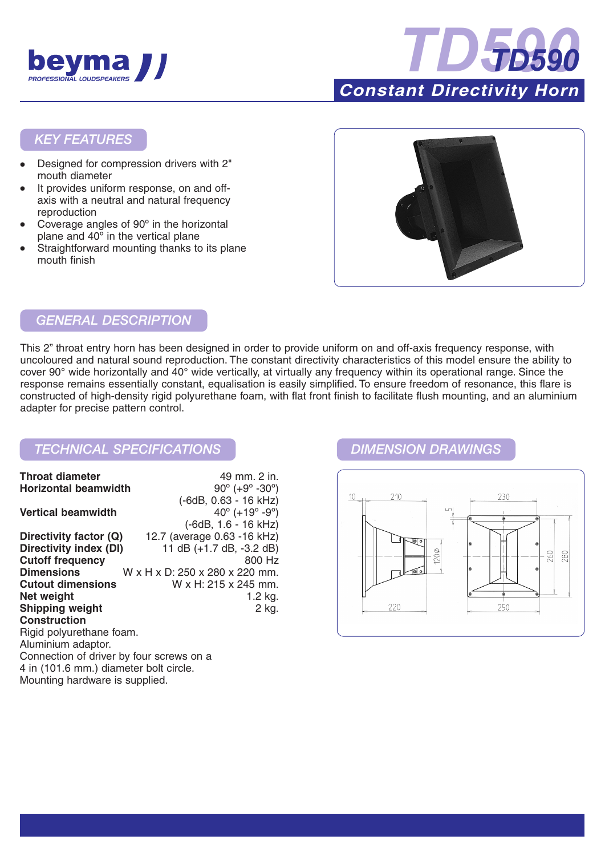



### *KEY FEATURES*

- Designed for compression drivers with 2" mouth diameter
- It provides uniform response, on and offaxis with a neutral and natural frequency reproduction
- Coverage angles of 90° in the horizontal plane and 40º in the vertical plane
- Straightforward mounting thanks to its plane mouth finish



# *GENERAL DESCRIPTION*

This 2" throat entry horn has been designed in order to provide uniform on and off-axis frequency response, with uncoloured and natural sound reproduction. The constant directivity characteristics of this model ensure the ability to cover 90° wide horizontally and 40° wide vertically, at virtually any frequency within its operational range. Since the response remains essentially constant, equalisation is easily simplified. To ensure freedom of resonance, this flare is constructed of high-density rigid polyurethane foam, with flat front finish to facilitate flush mounting, and an aluminium adapter for precise pattern control.

## *TECHNICAL SPECIFICATIONS DIMENSION DRAWINGS*

| <b>Throat diameter</b>                   | 49 mm. 2 in.                                 |
|------------------------------------------|----------------------------------------------|
| <b>Horizontal beamwidth</b>              | $90^{\circ}$ (+9 $^{\circ}$ -30 $^{\circ}$ ) |
|                                          | (-6dB, 0.63 - 16 kHz)                        |
| <b>Vertical beamwidth</b>                | $40^{\circ}$ (+19 $^{\circ}$ -9 $^{\circ}$ ) |
|                                          | $(-6dB, 1.6 - 16 kHz)$                       |
| Directivity factor (Q)                   | 12.7 (average 0.63 -16 kHz)                  |
| Directivity index (DI)                   | 11 dB (+1.7 dB, -3.2 dB)                     |
| <b>Cutoff frequency</b>                  | 800 Hz                                       |
| <b>Dimensions</b>                        | W x H x D: 250 x 280 x 220 mm.               |
| <b>Cutout dimensions</b>                 | W x H: 215 x 245 mm.                         |
| Net weight                               | 1.2 kg.                                      |
| <b>Shipping weight</b>                   | 2 kg.                                        |
| <b>Construction</b>                      |                                              |
| Rigid polyurethane foam.                 |                                              |
| Aluminium adaptor.                       |                                              |
| Connection of driver by four screws on a |                                              |
| 4 in (101.6 mm.) diameter bolt circle.   |                                              |
| Mounting hardware is supplied.           |                                              |